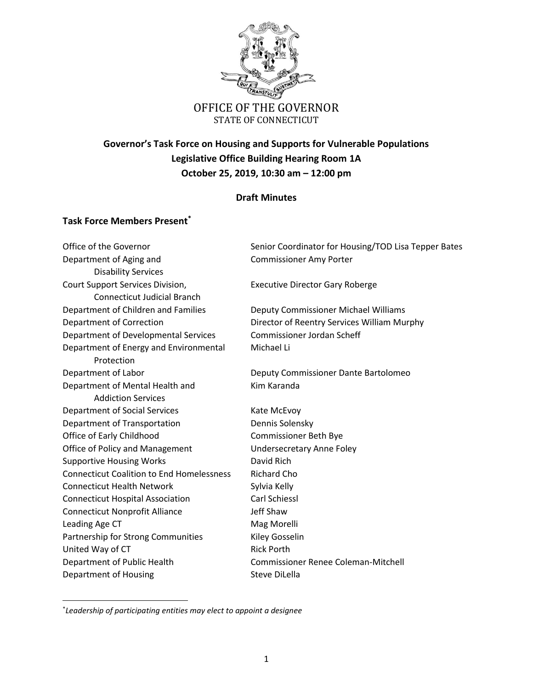

# **Governor's Task Force on Housing and Supports for Vulnerable Populations Legislative Office Building Hearing Room 1A October 25, 2019, 10:30 am – 12:00 pm**

## **Draft Minutes**

### **Task Force Members Present\***

Department of Aging and Theorem Commissioner Amy Porter Disability Services Court Support Services Division, Executive Director Gary Roberge Connecticut Judicial Branch Department of Children and Families Deputy Commissioner Michael Williams Department of Developmental Services Commissioner Jordan Scheff Department of Energy and Environmental Michael Li Protection Department of Labor Deputy Commissioner Dante Bartolomeo Department of Mental Health and Kim Karanda Addiction Services Department of Social Services Kate McEvoy Department of Transportation Dennis Solensky Office of Early Childhood Commissioner Beth Bye Office of Policy and Management Undersecretary Anne Foley Supportive Housing Works **David Rich** Connecticut Coalition to End Homelessness Richard Cho Connecticut Health Network Sylvia Kelly Connecticut Hospital Association Carl Schiessl Connecticut Nonprofit Alliance **State Shaw** Leading Age CT and Mag Morelli Partnership for Strong Communities Kiley Gosselin United Way of CT Rick Porth Department of Public Health Commissioner Renee Coleman-Mitchell Department of Housing Steve DiLella

 $\overline{\phantom{a}}$ 

Office of the Governor Senior Coordinator for Housing/TOD Lisa Tepper Bates

Department of Correction Director of Reentry Services William Murphy

\* *Leadership of participating entities may elect to appoint a designee*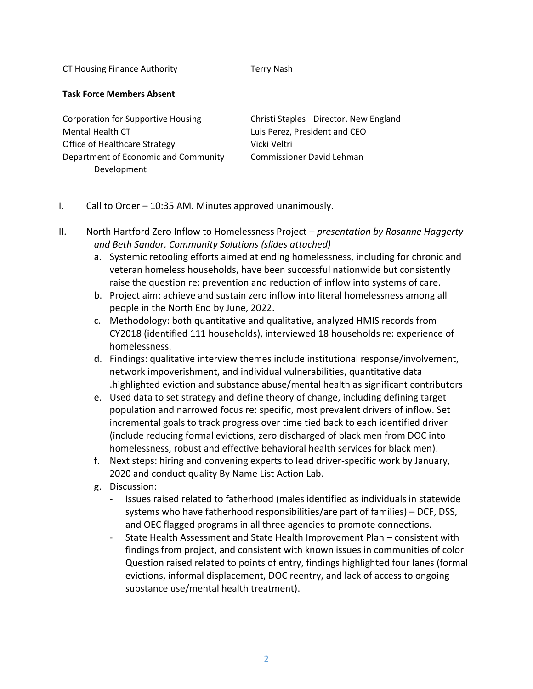CT Housing Finance Authority Terry Nash

#### **Task Force Members Absent**

Corporation for Supportive Housing Christi Staples Director, New England Mental Health CT **Luis Perez, President and CEO** Office of Healthcare Strategy Vicki Veltri Department of Economic and Community Commissioner David Lehman Development

## I. Call to Order – 10:35 AM. Minutes approved unanimously.

- II. North Hartford Zero Inflow to Homelessness Project *presentation by Rosanne Haggerty and Beth Sandor, Community Solutions (slides attached)*
	- a. Systemic retooling efforts aimed at ending homelessness, including for chronic and veteran homeless households, have been successful nationwide but consistently raise the question re: prevention and reduction of inflow into systems of care.
	- b. Project aim: achieve and sustain zero inflow into literal homelessness among all people in the North End by June, 2022.
	- c. Methodology: both quantitative and qualitative, analyzed HMIS records from CY2018 (identified 111 households), interviewed 18 households re: experience of homelessness.
	- d. Findings: qualitative interview themes include institutional response/involvement, network impoverishment, and individual vulnerabilities, quantitative data .highlighted eviction and substance abuse/mental health as significant contributors
	- e. Used data to set strategy and define theory of change, including defining target population and narrowed focus re: specific, most prevalent drivers of inflow. Set incremental goals to track progress over time tied back to each identified driver (include reducing formal evictions, zero discharged of black men from DOC into homelessness, robust and effective behavioral health services for black men).
	- f. Next steps: hiring and convening experts to lead driver-specific work by January, 2020 and conduct quality By Name List Action Lab.
	- g. Discussion:
		- Issues raised related to fatherhood (males identified as individuals in statewide systems who have fatherhood responsibilities/are part of families) – DCF, DSS, and OEC flagged programs in all three agencies to promote connections.
		- State Health Assessment and State Health Improvement Plan consistent with findings from project, and consistent with known issues in communities of color Question raised related to points of entry, findings highlighted four lanes (formal evictions, informal displacement, DOC reentry, and lack of access to ongoing substance use/mental health treatment).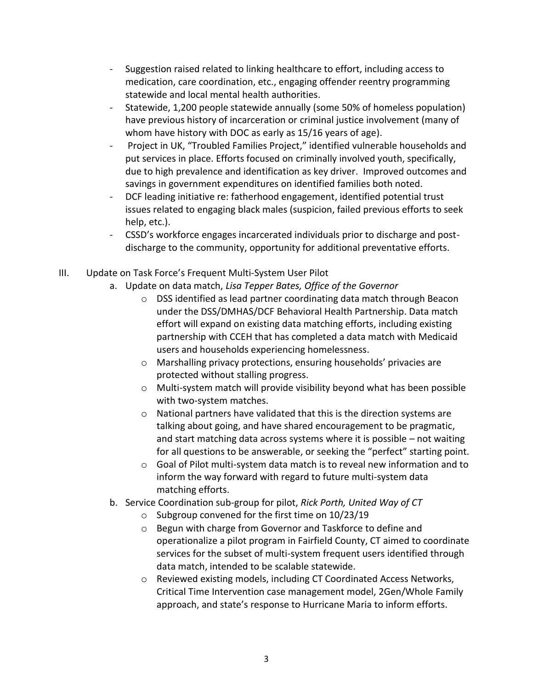- Suggestion raised related to linking healthcare to effort, including access to medication, care coordination, etc., engaging offender reentry programming statewide and local mental health authorities.
- Statewide, 1,200 people statewide annually (some 50% of homeless population) have previous history of incarceration or criminal justice involvement (many of whom have history with DOC as early as 15/16 years of age).
- Project in UK, "Troubled Families Project," identified vulnerable households and put services in place. Efforts focused on criminally involved youth, specifically, due to high prevalence and identification as key driver. Improved outcomes and savings in government expenditures on identified families both noted.
- DCF leading initiative re: fatherhood engagement, identified potential trust issues related to engaging black males (suspicion, failed previous efforts to seek help, etc.).
- CSSD's workforce engages incarcerated individuals prior to discharge and postdischarge to the community, opportunity for additional preventative efforts.
- III. Update on Task Force's Frequent Multi-System User Pilot
	- a. Update on data match, *Lisa Tepper Bates, Office of the Governor*
		- o DSS identified as lead partner coordinating data match through Beacon under the DSS/DMHAS/DCF Behavioral Health Partnership. Data match effort will expand on existing data matching efforts, including existing partnership with CCEH that has completed a data match with Medicaid users and households experiencing homelessness.
		- o Marshalling privacy protections, ensuring households' privacies are protected without stalling progress.
		- o Multi-system match will provide visibility beyond what has been possible with two-system matches.
		- o National partners have validated that this is the direction systems are talking about going, and have shared encouragement to be pragmatic, and start matching data across systems where it is possible – not waiting for all questions to be answerable, or seeking the "perfect" starting point.
		- o Goal of Pilot multi-system data match is to reveal new information and to inform the way forward with regard to future multi-system data matching efforts.
	- b. Service Coordination sub-group for pilot, *Rick Porth, United Way of CT*
		- o Subgroup convened for the first time on 10/23/19
		- o Begun with charge from Governor and Taskforce to define and operationalize a pilot program in Fairfield County, CT aimed to coordinate services for the subset of multi-system frequent users identified through data match, intended to be scalable statewide.
		- o Reviewed existing models, including CT Coordinated Access Networks, Critical Time Intervention case management model, 2Gen/Whole Family approach, and state's response to Hurricane Maria to inform efforts.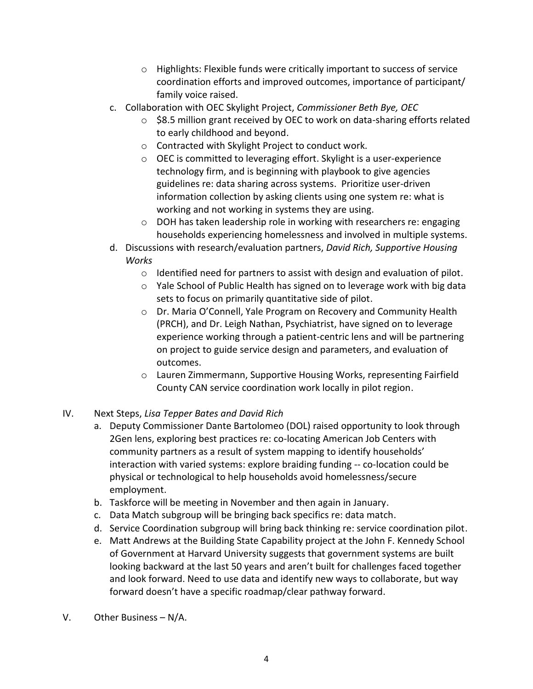- o Highlights: Flexible funds were critically important to success of service coordination efforts and improved outcomes, importance of participant/ family voice raised.
- c. Collaboration with OEC Skylight Project, *Commissioner Beth Bye, OEC*
	- $\circ$  \$8.5 million grant received by OEC to work on data-sharing efforts related to early childhood and beyond.
	- o Contracted with Skylight Project to conduct work.
	- o OEC is committed to leveraging effort. Skylight is a user-experience technology firm, and is beginning with playbook to give agencies guidelines re: data sharing across systems. Prioritize user-driven information collection by asking clients using one system re: what is working and not working in systems they are using.
	- o DOH has taken leadership role in working with researchers re: engaging households experiencing homelessness and involved in multiple systems.
- d. Discussions with research/evaluation partners, *David Rich, Supportive Housing Works*
	- o Identified need for partners to assist with design and evaluation of pilot.
	- o Yale School of Public Health has signed on to leverage work with big data sets to focus on primarily quantitative side of pilot.
	- o Dr. Maria O'Connell, Yale Program on Recovery and Community Health (PRCH), and Dr. Leigh Nathan, Psychiatrist, have signed on to leverage experience working through a patient-centric lens and will be partnering on project to guide service design and parameters, and evaluation of outcomes.
	- o Lauren Zimmermann, Supportive Housing Works, representing Fairfield County CAN service coordination work locally in pilot region.
- IV. Next Steps, *Lisa Tepper Bates and David Rich*
	- a. Deputy Commissioner Dante Bartolomeo (DOL) raised opportunity to look through 2Gen lens, exploring best practices re: co-locating American Job Centers with community partners as a result of system mapping to identify households' interaction with varied systems: explore braiding funding -- co-location could be physical or technological to help households avoid homelessness/secure employment.
	- b. Taskforce will be meeting in November and then again in January.
	- c. Data Match subgroup will be bringing back specifics re: data match.
	- d. Service Coordination subgroup will bring back thinking re: service coordination pilot.
	- e. Matt Andrews at the Building State Capability project at the John F. Kennedy School of Government at Harvard University suggests that government systems are built looking backward at the last 50 years and aren't built for challenges faced together and look forward. Need to use data and identify new ways to collaborate, but way forward doesn't have a specific roadmap/clear pathway forward.
- V. Other Business N/A.